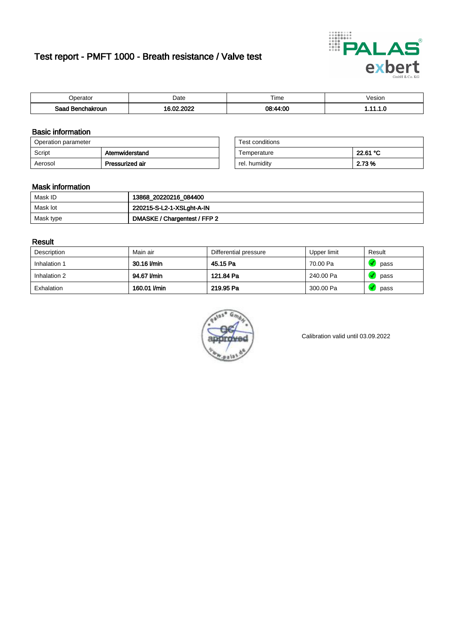# Test report - PMFT 1000 - Breath resistance / Valve test



| )perator               | Date                                                   | $- \cdot$<br>Гіmе | esion |
|------------------------|--------------------------------------------------------|-------------------|-------|
| המס<br>hakroun<br>32 H | 000 <sup>o</sup><br>$\sim$ 00 $\sim$<br>. .<br>л.<br>. | 08:44:00          | .     |

### Basic information

| Operation parameter |                 | Test conditions |          |
|---------------------|-----------------|-----------------|----------|
| Script              | Atemwiderstand  | Temperature     | 22.61 °C |
| Aerosol             | Pressurized air | rel. humidity   | 2.73 %   |

| Test conditions |          |
|-----------------|----------|
| Temperature     | 22.61 °C |
| rel. humidity   | 2.73 %   |

### Mask information

| Mask ID   | 13868_20220216_084400        |
|-----------|------------------------------|
| Mask lot  | 220215-S-L2-1-XSLght-A-IN    |
| Mask type | DMASKE / Chargentest / FFP 2 |

### Result

| Description  | Main air     | Differential pressure | Upper limit | Result |
|--------------|--------------|-----------------------|-------------|--------|
| Inhalation 1 | 30.16 l/min  | 45.15 Pa              | 70.00 Pa    | pass   |
| Inhalation 2 | 94.67 l/min  | 121.84 Pa             | 240.00 Pa   | pass   |
| Exhalation   | 160.01 l/min | 219.95 Pa             | 300.00 Pa   | pass   |



Calibration valid until 03.09.2022